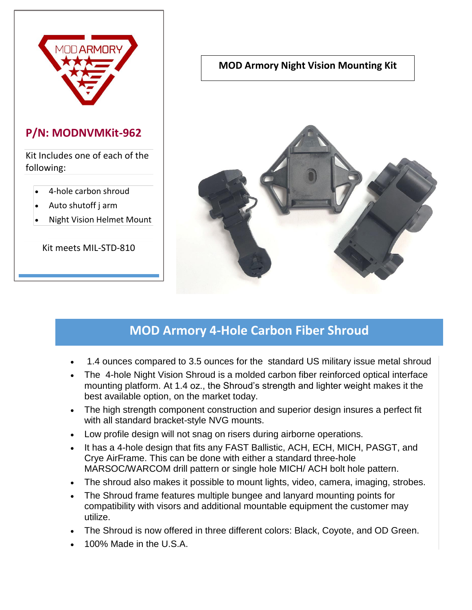

### **P/N: MODNVMKit-962**

Kit Includes one of each of the following:

- 4-hole carbon shroud
- Auto shutoff j arm
- Night Vision Helmet Mount

Kit meets MIL-STD-810

#### **MOD Armory Night Vision Mounting Kit**



# **MOD Armory 4-Hole Carbon Fiber Shroud**

- 1.4 ounces compared to 3.5 ounces for the standard US military issue metal shroud
- The 4-hole Night Vision Shroud is a molded carbon fiber reinforced optical interface mounting platform. At 1.4 oz., the Shroud's strength and lighter weight makes it the best available option, on the market today.
- The high strength component construction and superior design insures a perfect fit with all standard bracket-style NVG mounts.
- Low profile design will not snag on risers during airborne operations.
- It has a 4-hole design that fits any FAST Ballistic, ACH, ECH, MICH, PASGT, and Crye AirFrame. This can be done with either a standard three-hole MARSOC/WARCOM drill pattern or single hole MICH/ ACH bolt hole pattern.
- The shroud also makes it possible to mount lights, video, camera, imaging, strobes.
- The Shroud frame features multiple bungee and lanyard mounting points for compatibility with visors and additional mountable equipment the customer may utilize.
- The Shroud is now offered in three different colors: Black, Coyote, and OD Green.
- 100% Made in the U.S.A.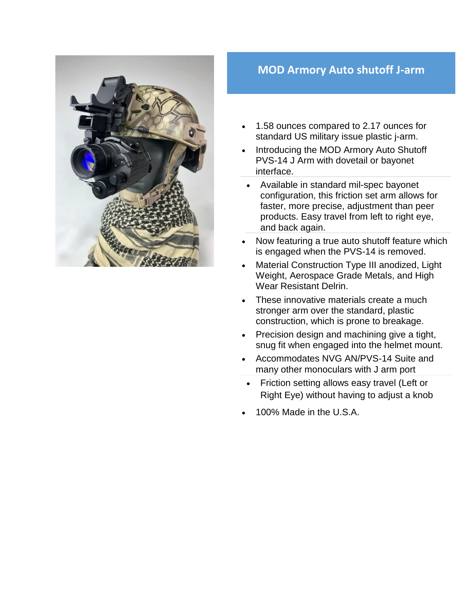

### **MOD Armory Auto shutoff J-arm**

- 1.58 ounces compared to 2.17 ounces for standard US military issue plastic j-arm.
- Introducing the MOD Armory Auto Shutoff PVS-14 J Arm with dovetail or bayonet interface.
- Available in standard mil-spec bayonet configuration, this friction set arm allows for faster, more precise, adjustment than peer products. Easy travel from left to right eye, and back again.
- Now featuring a true auto shutoff feature which is engaged when the PVS-14 is removed.
- Material Construction Type III anodized, Light Weight, Aerospace Grade Metals, and High Wear Resistant Delrin.
- These innovative materials create a much stronger arm over the standard, plastic construction, which is prone to breakage.
- Precision design and machining give a tight, snug fit when engaged into the helmet mount.
- Accommodates NVG AN/PVS-14 Suite and many other monoculars with J arm port
- Friction setting allows easy travel (Left or Right Eye) without having to adjust a knob
- 100% Made in the U.S.A.